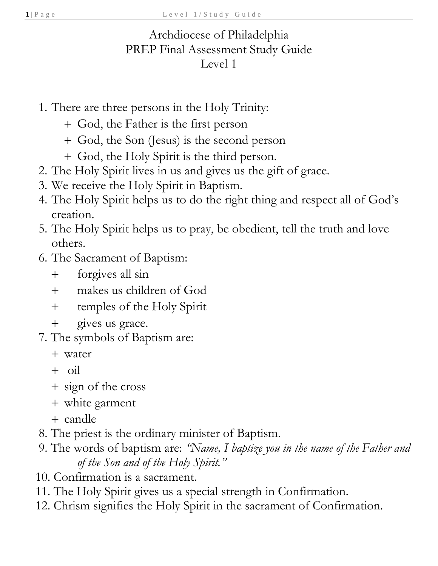## Archdiocese of Philadelphia PREP Final Assessment Study Guide Level 1

- 1. There are three persons in the Holy Trinity:
	- + God, the Father is the first person
	- + God, the Son (Jesus) is the second person
	- + God, the Holy Spirit is the third person.
- 2. The Holy Spirit lives in us and gives us the gift of grace.
- 3. We receive the Holy Spirit in Baptism.
- 4. The Holy Spirit helps us to do the right thing and respect all of God's creation.
- 5. The Holy Spirit helps us to pray, be obedient, tell the truth and love others.
- 6. The Sacrament of Baptism:
	- + forgives all sin
	- + makes us children of God
	- + temples of the Holy Spirit
	- + gives us grace.
- 7. The symbols of Baptism are:
	- + water
	- + oil
	- + sign of the cross
	- + white garment
	- + candle
- 8. The priest is the ordinary minister of Baptism.
- 9. The words of baptism are: *"Name, I baptize you in the name of the Father and of the Son and of the Holy Spirit."*
- 10. Confirmation is a sacrament.
- 11. The Holy Spirit gives us a special strength in Confirmation.
- 12. Chrism signifies the Holy Spirit in the sacrament of Confirmation.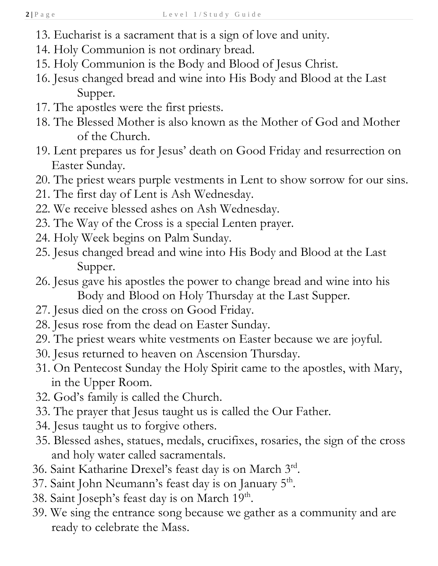- 13. Eucharist is a sacrament that is a sign of love and unity.
- 14. Holy Communion is not ordinary bread.
- 15. Holy Communion is the Body and Blood of Jesus Christ.
- 16. Jesus changed bread and wine into His Body and Blood at the Last Supper.
- 17. The apostles were the first priests.
- 18. The Blessed Mother is also known as the Mother of God and Mother of the Church.
- 19. Lent prepares us for Jesus' death on Good Friday and resurrection on Easter Sunday.
- 20. The priest wears purple vestments in Lent to show sorrow for our sins.
- 21. The first day of Lent is Ash Wednesday.
- 22. We receive blessed ashes on Ash Wednesday.
- 23. The Way of the Cross is a special Lenten prayer.
- 24. Holy Week begins on Palm Sunday.
- 25. Jesus changed bread and wine into His Body and Blood at the Last Supper.
- 26. Jesus gave his apostles the power to change bread and wine into his Body and Blood on Holy Thursday at the Last Supper.
- 27. Jesus died on the cross on Good Friday.
- 28. Jesus rose from the dead on Easter Sunday.
- 29. The priest wears white vestments on Easter because we are joyful.
- 30. Jesus returned to heaven on Ascension Thursday.
- 31. On Pentecost Sunday the Holy Spirit came to the apostles, with Mary, in the Upper Room.
- 32. God's family is called the Church.
- 33. The prayer that Jesus taught us is called the Our Father.
- 34. Jesus taught us to forgive others.
- 35. Blessed ashes, statues, medals, crucifixes, rosaries, the sign of the cross and holy water called sacramentals.
- 36. Saint Katharine Drexel's feast day is on March 3rd.
- 37. Saint John Neumann's feast day is on January 5<sup>th</sup>.
- 38. Saint Joseph's feast day is on March 19<sup>th</sup>.
- 39. We sing the entrance song because we gather as a community and are ready to celebrate the Mass.